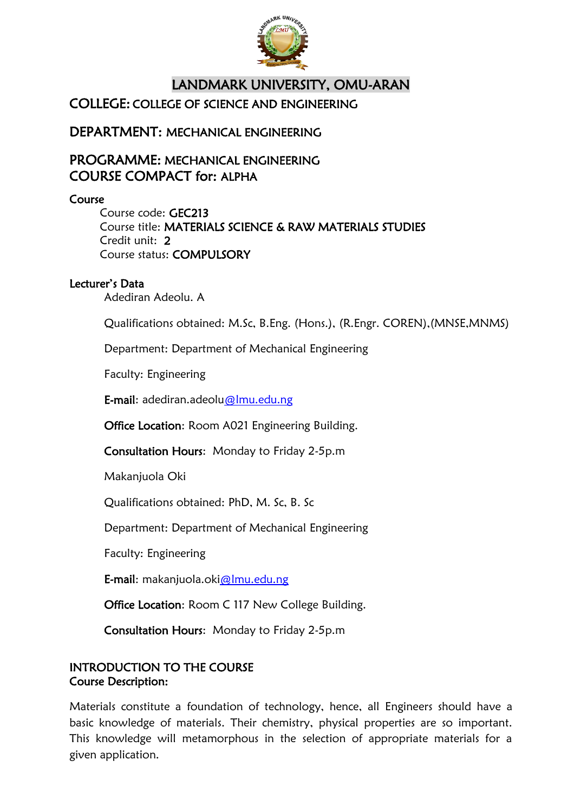

# LANDMARK UNIVERSITY, OMU-ARAN COLLEGE: COLLEGE OF SCIENCE AND ENGINEERING

DEPARTMENT: MECHANICAL ENGINEERING

# PROGRAMME: MECHANICAL ENGINEERING COURSE COMPACT for: ALPHA

Course

Course code: GEC213 Course title: MATERIALS SCIENCE & RAW MATERIALS STUDIES Credit unit: 2 Course status: COMPULSORY

## Lecturer's Data

Adediran Adeolu. A

Qualifications obtained: M.Sc, B.Eng. (Hons.), (R.Engr. COREN),(MNSE,MNMS)

Department: Department of Mechanical Engineering

Faculty: Engineering

E-mail: adediran.adeolu@lmu.edu.ng

Office Location: Room A021 Engineering Building.

Consultation Hours: Monday to Friday 2-5p.m

Makanjuola Oki

Qualifications obtained: PhD, M. Sc, B. Sc

Department: Department of Mechanical Engineering

Faculty: Engineering

E-mail: makanjuola.oki@lmu.edu.ng

Office Location: Room C 117 New College Building.

Consultation Hours: Monday to Friday 2-5p.m

## INTRODUCTION TO THE COURSE Course Description:

Materials constitute a foundation of technology, hence, all Engineers should have a basic knowledge of materials. Their chemistry, physical properties are so important. This knowledge will metamorphous in the selection of appropriate materials for a given application.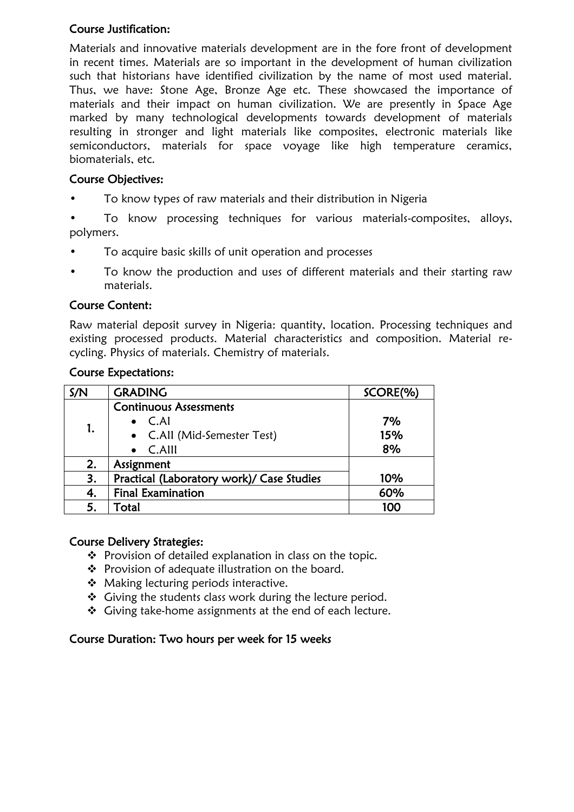## Course Justification:

Materials and innovative materials development are in the fore front of development in recent times. Materials are so important in the development of human civilization such that historians have identified civilization by the name of most used material. Thus, we have: Stone Age, Bronze Age etc. These showcased the importance of materials and their impact on human civilization. We are presently in Space Age marked by many technological developments towards development of materials resulting in stronger and light materials like composites, electronic materials like semiconductors, materials for space voyage like high temperature ceramics, biomaterials, etc.

#### Course Objectives:

• To know types of raw materials and their distribution in Nigeria

• To know processing techniques for various materials-composites, alloys, polymers.

- To acquire basic skills of unit operation and processes
- To know the production and uses of different materials and their starting raw materials.

#### Course Content:

Raw material deposit survey in Nigeria: quantity, location. Processing techniques and existing processed products. Material characteristics and composition. Material recycling. Physics of materials. Chemistry of materials.

#### Course Expectations:

| S/N | <b>GRADING</b>                            | SCORE(%) |
|-----|-------------------------------------------|----------|
| 1.  | <b>Continuous Assessments</b>             |          |
|     | $\bullet$ C.AI                            | 7%       |
|     | • C.All (Mid-Semester Test)               | 15%      |
|     | $\bullet$ C.Alll                          | 8%       |
| 2.  | Assignment                                |          |
| 3.  | Practical (Laboratory work)/ Case Studies | 10%      |
| 4.  | <b>Final Examination</b>                  | 60%      |
| 5.  | Total                                     | 100      |

#### Course Delivery Strategies:

- ❖ Provision of detailed explanation in class on the topic.
- Provision of adequate illustration on the board.
- ◆ Making lecturing periods interactive.
- $\div$  Giving the students class work during the lecture period.
- Giving take-home assignments at the end of each lecture.

#### Course Duration: Two hours per week for 15 weeks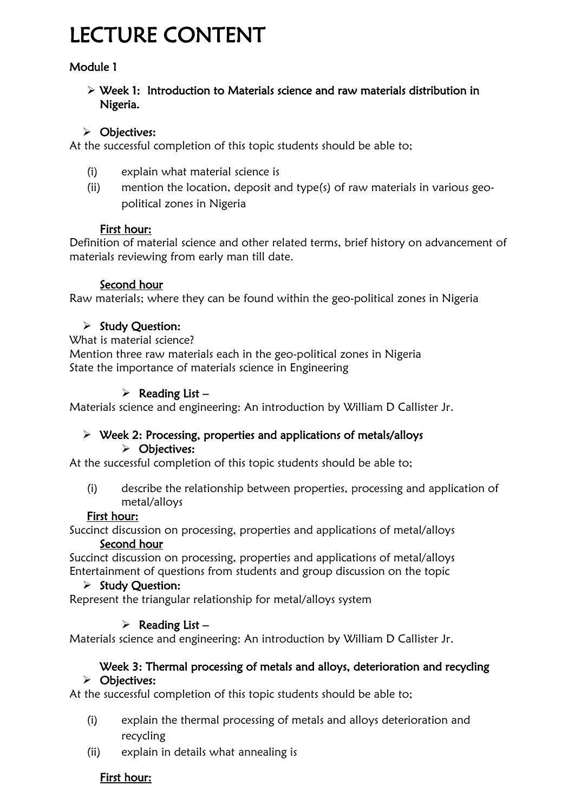# LECTURE CONTENT

# Module 1

 Week 1: Introduction to Materials science and raw materials distribution in Nigeria.

## > Objectives:

At the successful completion of this topic students should be able to;

- (i) explain what material science is
- (ii) mention the location, deposit and type(s) of raw materials in various geopolitical zones in Nigeria

## First hour:

Definition of material science and other related terms, brief history on advancement of materials reviewing from early man till date.

## Second hour

Raw materials; where they can be found within the geo-political zones in Nigeria

## $\triangleright$  Study Question:

#### What is material science?

Mention three raw materials each in the geo-political zones in Nigeria State the importance of materials science in Engineering

## $\triangleright$  Reading List –

Materials science and engineering: An introduction by William D Callister Jr.

#### $\triangleright$  Week 2: Processing, properties and applications of metals/alloys > Objectives:

At the successful completion of this topic students should be able to;

(i) describe the relationship between properties, processing and application of metal/alloys

## First hour:

Succinct discussion on processing, properties and applications of metal/alloys Second hour

Succinct discussion on processing, properties and applications of metal/alloys Entertainment of questions from students and group discussion on the topic

## $\triangleright$  Study Question:

Represent the triangular relationship for metal/alloys system

## $\triangleright$  Reading List –

Materials science and engineering: An introduction by William D Callister Jr.

#### Week 3: Thermal processing of metals and alloys, deterioration and recycling > Objectives:

At the successful completion of this topic students should be able to;

- (i) explain the thermal processing of metals and alloys deterioration and recycling
- (ii) explain in details what annealing is

# First hour: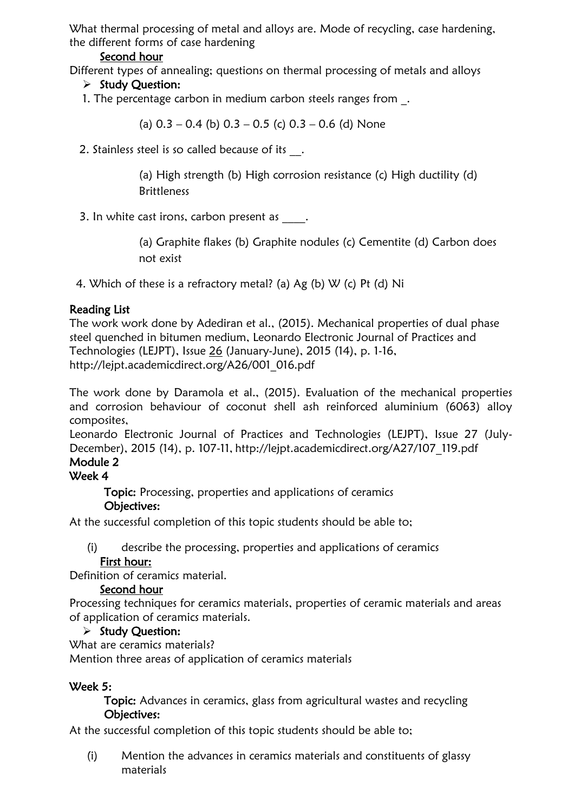What thermal processing of metal and alloys are. Mode of recycling, case hardening, the different forms of case hardening

#### Second hour

Different types of annealing; questions on thermal processing of metals and alloys

#### $\triangleright$  Study Question:

1. The percentage carbon in medium carbon steels ranges from \_.

(a)  $0.3 - 0.4$  (b)  $0.3 - 0.5$  (c)  $0.3 - 0.6$  (d) None

2. Stainless steel is so called because of its .

(a) High strength (b) High corrosion resistance (c) High ductility (d) **Brittleness** 

3. In white cast irons, carbon present as  $\qquad \qquad$ .

(a) Graphite flakes (b) Graphite nodules (c) Cementite (d) Carbon does not exist

4. Which of these is a refractory metal? (a) Ag (b) W (c) Pt (d) Ni

#### Reading List

The work work done by Adediran et al., (2015). Mechanical properties of dual phase steel quenched in bitumen medium, Leonardo Electronic Journal of Practices and Technologies (LEJPT), Issue [26](http://lejpt.academicdirect.org/A26/Cover26.pdf) (January-June), 2015 (14), p. 1-16, http://lejpt.academicdirect.org/A26/001\_016.pdf

The work done by Daramola et al., (2015). Evaluation of the mechanical properties and corrosion behaviour of coconut shell ash reinforced aluminium (6063) alloy composites,

Leonardo Electronic Journal of Practices and Technologies (LEJPT), Issue 27 (July-December), 2015 (14), p. 107-11, http://lejpt.academicdirect.org/A27/107\_119.pdf

# Module 2

#### Week 4

Topic: Processing, properties and applications of ceramics

## Objectives:

At the successful completion of this topic students should be able to;

(i) describe the processing, properties and applications of ceramics

#### First hour:

Definition of ceramics material.

#### Second hour

Processing techniques for ceramics materials, properties of ceramic materials and areas of application of ceramics materials.

#### $\triangleright$  Study Question:

What are ceramics materials?

Mention three areas of application of ceramics materials

#### Week 5:

Topic: Advances in ceramics, glass from agricultural wastes and recycling Objectives:

At the successful completion of this topic students should be able to;

(i) Mention the advances in ceramics materials and constituents of glassy materials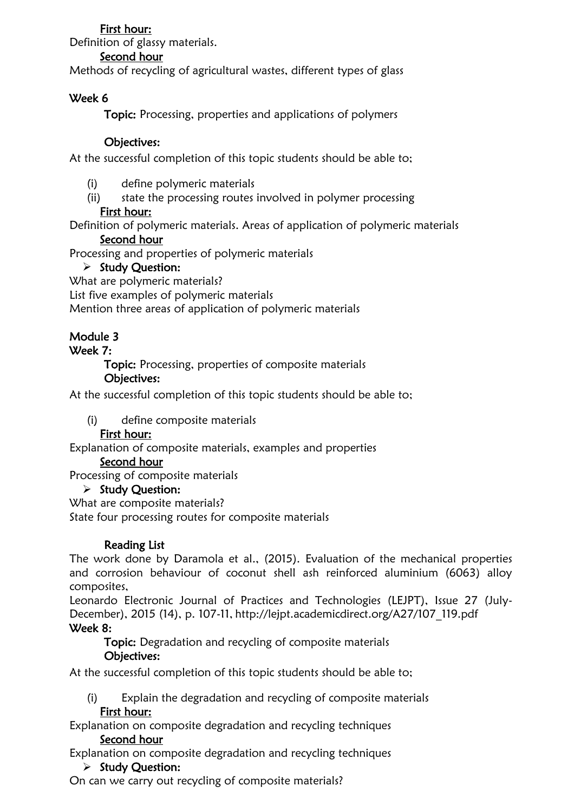## First hour:

Definition of glassy materials.

#### Second hour

Methods of recycling of agricultural wastes, different types of glass

## Week 6

Topic: Processing, properties and applications of polymers

#### Objectives:

At the successful completion of this topic students should be able to;

- (i) define polymeric materials
- (ii) state the processing routes involved in polymer processing

#### First hour:

Definition of polymeric materials. Areas of application of polymeric materials

#### Second hour

Processing and properties of polymeric materials

#### $\triangleright$  Study Question:

What are polymeric materials?

List five examples of polymeric materials

Mention three areas of application of polymeric materials

## Module 3

#### Week 7:

Topic: Processing, properties of composite materials

#### Objectives:

At the successful completion of this topic students should be able to;

(i) define composite materials

## First hour:

Explanation of composite materials, examples and properties

#### Second hour

Processing of composite materials

#### $\triangleright$  Study Question:

What are composite materials?

State four processing routes for composite materials

## Reading List

The work done by Daramola et al., (2015). Evaluation of the mechanical properties and corrosion behaviour of coconut shell ash reinforced aluminium (6063) alloy composites,

Leonardo Electronic Journal of Practices and Technologies (LEJPT), Issue 27 (July-December), 2015 (14), p. 107-11, http://lejpt.academicdirect.org/A27/107\_119.pdf Week 8:

Topic: Degradation and recycling of composite materials Objectives:

At the successful completion of this topic students should be able to;

- (i) Explain the degradation and recycling of composite materials First hour:
- Explanation on composite degradation and recycling techniques Second hour

Explanation on composite degradation and recycling techniques

 $\triangleright$  Study Question:

On can we carry out recycling of composite materials?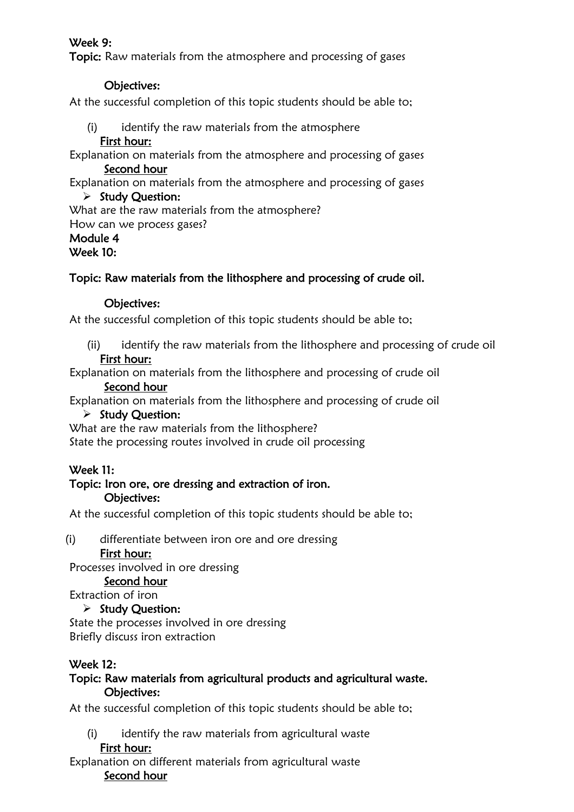## Week 9:

Topic: Raw materials from the atmosphere and processing of gases

#### Objectives:

At the successful completion of this topic students should be able to;

- (i) identify the raw materials from the atmosphere
	- First hour:

Explanation on materials from the atmosphere and processing of gases Second hour

Explanation on materials from the atmosphere and processing of gases

## $\triangleright$  Study Question:

What are the raw materials from the atmosphere?

How can we process gases?

# Module 4

Week 10:

# Topic: Raw materials from the lithosphere and processing of crude oil.

## Objectives:

At the successful completion of this topic students should be able to;

(ii) identify the raw materials from the lithosphere and processing of crude oil First hour:

Explanation on materials from the lithosphere and processing of crude oil Second hour

Explanation on materials from the lithosphere and processing of crude oil

## $\triangleright$  Study Question:

What are the raw materials from the lithosphere?

State the processing routes involved in crude oil processing

# Week 11:

#### Topic: Iron ore, ore dressing and extraction of iron. Objectives:

At the successful completion of this topic students should be able to;

(i) differentiate between iron ore and ore dressing

## First hour:

Processes involved in ore dressing

#### Second hour

Extraction of iron

## $\triangleright$  Study Ouestion:

State the processes involved in ore dressing Briefly discuss iron extraction

## Week 12:

## Topic: Raw materials from agricultural products and agricultural waste. Objectives:

At the successful completion of this topic students should be able to;

(i) identify the raw materials from agricultural waste

#### First hour:

Explanation on different materials from agricultural waste Second hour